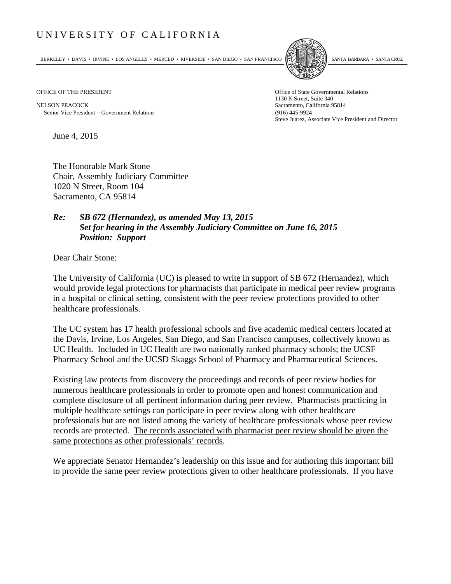## UNIVERSITY OF CALIFORNIA

BERKELEY • DAVIS • IRVINE • LOS ANGELES • MERCED • RIVERSIDE • SAN DIEGO • SAN FRANCISCO SANTA BARBARA • SANTA CRUZ



NELSON PEACOCK Sacramento, California 95814 Senior Vice President Government Relations (916) 445-9924

OFFICE OF THE PRESIDENT STATES OF THE PRESIDENT 1130 K Street, Suite 340 Steve Juarez, Associate Vice President and Director

June 4, 2015

The Honorable Mark Stone Chair, Assembly Judiciary Committee 1020 N Street, Room 104 Sacramento, CA 95814

## *Re: SB 672 (Hernandez), as amended May 13, 2015 Set for hearing in the Assembly Judiciary Committee on June 16, 2015 Position: Support*

Dear Chair Stone:

The University of California (UC) is pleased to write in support of SB 672 (Hernandez), which would provide legal protections for pharmacists that participate in medical peer review programs in a hospital or clinical setting, consistent with the peer review protections provided to other healthcare professionals.

The UC system has 17 health professional schools and five academic medical centers located at the Davis, Irvine, Los Angeles, San Diego, and San Francisco campuses, collectively known as UC Health. Included in UC Health are two nationally ranked pharmacy schools; the UCSF Pharmacy School and the UCSD Skaggs School of Pharmacy and Pharmaceutical Sciences.

Existing law protects from discovery the proceedings and records of peer review bodies for numerous healthcare professionals in order to promote open and honest communication and complete disclosure of all pertinent information during peer review. Pharmacists practicing in multiple healthcare settings can participate in peer review along with other healthcare professionals but are not listed among the variety of healthcare professionals whose peer review records are protected. The records associated with pharmacist peer review should be given the same protections as other professionals' records.

We appreciate Senator Hernandez's leadership on this issue and for authoring this important bill to provide the same peer review protections given to other healthcare professionals. If you have